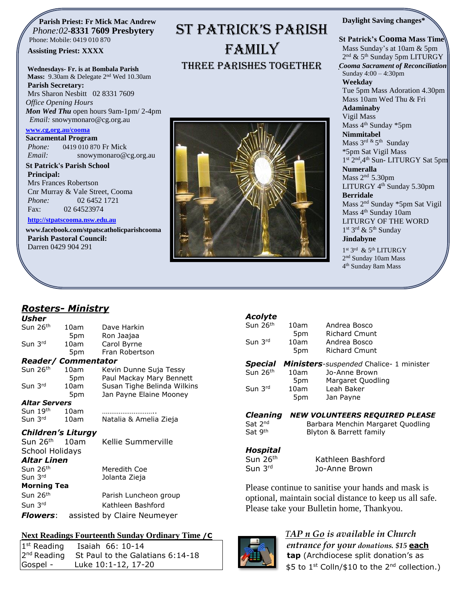#### **Parish Priest: Fr Mick Mac Andrew**  *Phone:02-***8331 7609 Presbytery** Phone: Mobile: 0419 010 870

#### **Assisting Priest: XXXX**

#### **Wednesdays- Fr. is at Bombala Parish**

**Mass:** 9.30am & Delegate 2nd Wed 10.30am **Parish Secretary:** Mrs Sharon Nesbitt 02 8331 7609 *Office Opening Hours*

*Mon Wed Thu* open hours 9am-1pm/ 2-4pm *Email:* snowymonaro@cg.org.au

#### **[www.cg,org.au/cooma](http://www.cg,org.au/cooma)**

**Sacramental Program** *Phone:*0419 010 870 Fr Mick *Email:* snowymonaro@cg.org.au

**St Patrick's Parish School Principal:** Mrs Frances Robertson Cnr Murray & Vale Street, Cooma *Phone:* 02 6452 1721 Fax: 02 64523974

#### **[http://stpatscooma.nsw.edu.au](http://stpatscooma.nsw.edu.au/)**

**[www.facebook.com/stpatscatholicparishcooma](http://www.facebook.com/stpatscatholicparishcooma) Parish Pastoral Council:** Darren 0429 904 291



ST PATRICK'S PARISH

FAMILY

Three Parishes Together

#### **Daylight Saving changes\***

#### **St Patrick's Cooma Mass Time** Mass Sunday's at 10am & 5pm 2<sup>nd</sup> & 5<sup>th</sup> Sunday 5pm LITURGY *Cooma Sacrament of Reconciliation* Sunday 4:00 – 4:30pm **Weekday**  Tue 5pm Mass Adoration 4.30pm Mass 10am Wed Thu & Fri **Adaminaby** Vigil Mass Mass 4<sup>th</sup> Sunday \*5pm **Nimmitabel** Mass 3<sup>rd &</sup> 5<sup>th</sup> Sunday \*5pm Sat Vigil Mass 1st 2<sup>nd</sup>, 4<sup>th</sup> Sun- LITURGY Sat 5pm **Numeralla** Mass 2<sup>nd</sup> 5.30pm LITURGY 4<sup>th</sup> Sunday 5.30pm **Berridale** Mass 2nd Sunday \*5pm Sat Vigil Mass 4<sup>th</sup> Sunday 10am LITURGY OF THE WORD 1st 3rd & 5<sup>th</sup> Sunday **Jindabyne** 1st 3rd & 5th LITURGY

2<sup>nd</sup> Sunday 10am Mass 4 th Sunday 8am Mass

# *Rosters- Ministry*

| Usher                            |      |                             |  |  |
|----------------------------------|------|-----------------------------|--|--|
| Sun 26 <sup>th</sup>             | 10am | Dave Harkin                 |  |  |
|                                  | 5pm  | Ron Jaajaa                  |  |  |
| Sun $3rd$                        | 10am | Carol Byrne                 |  |  |
|                                  | 5pm  | Fran Robertson              |  |  |
| <b>Reader/ Commentator</b>       |      |                             |  |  |
| Sun 26 <sup>th</sup>             | 10am | Kevin Dunne Suja Tessy      |  |  |
|                                  | 5pm  | Paul Mackay Mary Bennett    |  |  |
| Sun 3rd                          | 10am | Susan Tighe Belinda Wilkins |  |  |
|                                  | 5pm  | Jan Payne Elaine Mooney     |  |  |
| Altar Servers                    |      |                             |  |  |
| Sun 19th                         | 10am |                             |  |  |
| Sun 3rd                          | 10am | Natalia & Amelia Zieja      |  |  |
| <i><b>Children's Liturgy</b></i> |      |                             |  |  |
| Sun 26 <sup>th</sup>             | 10am | Kellie Summerville          |  |  |
| School Holidays                  |      |                             |  |  |
| Altar Linen                      |      |                             |  |  |
| Sun 26 <sup>th</sup>             |      | Meredith Coe                |  |  |
| Sun 3rd                          |      | Jolanta Zieja               |  |  |
| <b>Morning Tea</b>               |      |                             |  |  |
| Sun 26 <sup>th</sup>             |      | Parish Luncheon group       |  |  |
| Sun 3rd                          |      | Kathleen Bashford           |  |  |
|                                  |      |                             |  |  |

# *Flowers*: assisted by Claire Neumeyer

### **Next Readings Fourteenth Sunday Ordinary Time /C**

| $1st$ Reading | Isaiah 66: 10-14                               |
|---------------|------------------------------------------------|
|               | $2nd$ Reading St Paul to the Galatians 6:14-18 |
| Gospel -      | Luke 10:1-12, 17-20                            |

| <b>Acolyte</b>                                                    |                         |                                   |
|-------------------------------------------------------------------|-------------------------|-----------------------------------|
| Sun 26th                                                          | 10am                    | Andrea Bosco                      |
|                                                                   | 5pm                     | <b>Richard Cmunt</b>              |
| Sun 3rd                                                           | 10am                    | Andrea Bosco                      |
|                                                                   | 5pm                     | <b>Richard Cmunt</b>              |
| <b>Ministers</b> -suspended Chalice- 1 minister<br><b>Special</b> |                         |                                   |
| Sun 26th                                                          | 10am                    | Jo-Anne Brown                     |
|                                                                   | 5pm                     | Margaret Quodling                 |
| Sun 3rd                                                           | 10am                    | Leah Baker                        |
|                                                                   | 5pm                     | Jan Payne                         |
| <b>Cleaning</b>                                                   |                         | NEW VOLUNTEERS REQUIRED PLEASE    |
| Sat 2nd                                                           |                         | Barbara Menchin Margaret Quodling |
| Sat 9 <sup>th</sup>                                               | Blyton & Barrett family |                                   |

#### *Hospital*

Sun 3rd

Sun 26<sup>th</sup> Kathleen Bashford Jo-Anne Brown

Please continue to sanitise your hands and mask is optional, maintain social distance to keep us all safe. Please take your Bulletin home, Thankyou.

# *TAP n Go is available in Church*

*entrance for your donations. \$15* **each tap** (Archdiocese split donation's as \$5 to 1<sup>st</sup> Colln/\$10 to the 2<sup>nd</sup> collection.)